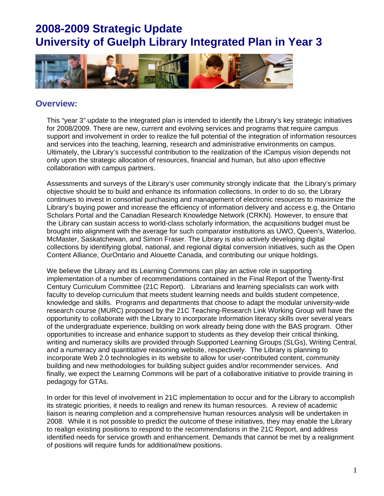

### **Overview:**

This "year 3" update to the integrated plan is intended to identify the Library's key strategic initiatives for 2008/2009. There are new, current and evolving services and programs that require campus support and involvement in order to realize the full potential of the integration of information resources and services into the teaching, learning, research and administrative environments on campus. Ultimately, the Library's successful contribution to the realization of the iCampus vision depends not only upon the strategic allocation of resources, financial and human, but also upon effective collaboration with campus partners.

Assessments and surveys of the Library's user community strongly indicate that the Library's primary objective should be to build and enhance its information collections. In order to do so, the Library continues to invest in consortial purchasing and management of electronic resources to maximize the Library's buying power and increase the efficiency of information delivery and access e.g. the Ontario Scholars Portal and the Canadian Research Knowledge Network (CRKN). However, to ensure that the Library can sustain access to world-class scholarly information, the acquisitions budget must be brought into alignment with the average for such comparator institutions as UWO, Queen's, Waterloo, McMaster, Saskatchewan, and Simon Fraser. The Library is also actively developing digital collections by identifying global, national, and regional digital conversion initiatives, such as the Open Content Alliance, OurOntario and Alouette Canada, and contributing our unique holdings.

We believe the Library and its Learning Commons can play an active role in supporting implementation of a number of recommendations contained in the Final Report of the Twenty-first Century Curriculum Committee (21C Report). Librarians and learning specialists can work with faculty to develop curriculum that meets student learning needs and builds student competence, knowledge and skills. Programs and departments that choose to adapt the modular university-wide research course (MURC) proposed by the 21C Teaching-Research Link Working Group will have the opportunity to collaborate with the Library to incorporate information literacy skills over several years of the undergraduate experience, building on work already being done with the BAS program. Other opportunities to increase and enhance support to students as they develop their critical thinking, writing and numeracy skills are provided through Supported Learning Groups (SLGs), Writing Central, and a numeracy and quantitative reasoning website, respectively. The Library is planning to incorporate Web 2.0 technologies in its website to allow for user-contributed content, community building and new methodologies for building subject guides and/or recommender services. And finally, we expect the Learning Commons will be part of a collaborative initiative to provide training in pedagogy for GTAs.

In order for this level of involvement in 21C implementation to occur and for the Library to accomplish its strategic priorities, it needs to realign and renew its human resources. A review of academic liaison is nearing completion and a comprehensive human resources analysis will be undertaken in 2008. While it is not possible to predict the outcome of these initiatives, they may enable the Library to realign existing positions to respond to the recommendations in the 21C Report, and address identified needs for service growth and enhancement. Demands that cannot be met by a realignment of positions will require funds for additional/new positions.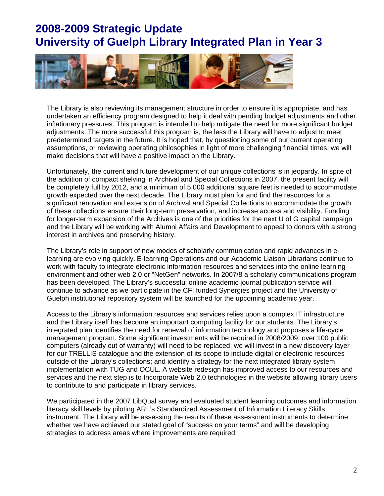

The Library is also reviewing its management structure in order to ensure it is appropriate, and has undertaken an efficiency program designed to help it deal with pending budget adjustments and other inflationary pressures. This program is intended to help mitigate the need for more significant budget adjustments. The more successful this program is, the less the Library will have to adjust to meet predetermined targets in the future. It is hoped that, by questioning some of our current operating assumptions, or reviewing operating philosophies in light of more challenging financial times, we will make decisions that will have a positive impact on the Library.

Unfortunately, the current and future development of our unique collections is in jeopardy. In spite of the addition of compact shelving in Archival and Special Collections in 2007, the present facility will be completely full by 2012, and a minimum of 5,000 additional square feet is needed to accommodate growth expected over the next decade. The Library must plan for and find the resources for a significant renovation and extension of Archival and Special Collections to accommodate the growth of these collections ensure their long-term preservation, and increase access and visibility. Funding for longer-term expansion of the Archives is one of the priorities for the next U of G capital campaign and the Library will be working with Alumni Affairs and Development to appeal to donors with a strong interest in archives and preserving history.

The Library's role in support of new modes of scholarly communication and rapid advances in elearning are evolving quickly. E-learning Operations and our Academic Liaison Librarians continue to work with faculty to integrate electronic information resources and services into the online learning environment and other web 2.0 or "NetGen" networks. In 2007/8 a scholarly communications program has been developed. The Library's successful online academic journal publication service will continue to advance as we participate in the CFI funded Synergies project and the University of Guelph institutional repository system will be launched for the upcoming academic year.

Access to the Library's information resources and services relies upon a complex IT infrastructure and the Library itself has become an important computing facility for our students. The Library's integrated plan identifies the need for renewal of information technology and proposes a life-cycle management program. Some significant investments will be required in 2008/2009: over 100 public computers (already out of warranty) will need to be replaced; we will invest in a new discovery layer for our TRELLIS catalogue and the extension of its scope to include digital or electronic resources outside of the Library's collections; and identify a strategy for the next integrated library system implementation with TUG and OCUL. A website redesign has improved access to our resources and services and the next step is to Incorporate Web 2.0 technologies in the website allowing library users to contribute to and participate in library services.

We participated in the 2007 LibQual survey and evaluated student learning outcomes and information literacy skill levels by piloting ARL's Standardized Assessment of Information Literacy Skills instrument. The Library will be assessing the results of these assessment instruments to determine whether we have achieved our stated goal of "success on your terms" and will be developing strategies to address areas where improvements are required.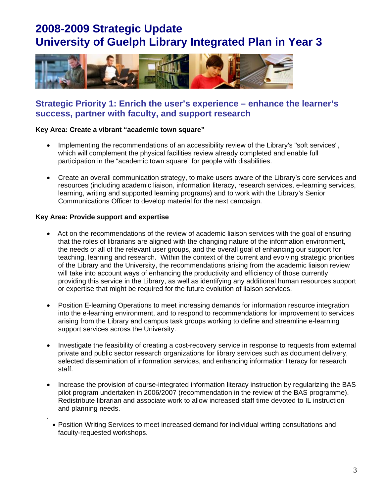

## **Strategic Priority 1: Enrich the user's experience – enhance the learner's success, partner with faculty, and support research**

#### **Key Area: Create a vibrant "academic town square"**

- Implementing the recommendations of an accessibility review of the Library's "soft services", which will complement the physical facilities review already completed and enable full participation in the "academic town square" for people with disabilities.
- Create an overall communication strategy, to make users aware of the Library's core services and resources (including academic liaison, information literacy, research services, e-learning services, learning, writing and supported learning programs) and to work with the Library's Senior Communications Officer to develop material for the next campaign.

### **Key Area: Provide support and expertise**

.

- Act on the recommendations of the review of academic liaison services with the goal of ensuring that the roles of librarians are aligned with the changing nature of the information environment, the needs of all of the relevant user groups, and the overall goal of enhancing our support for teaching, learning and research. Within the context of the current and evolving strategic priorities of the Library and the University, the recommendations arising from the academic liaison review will take into account ways of enhancing the productivity and efficiency of those currently providing this service in the Library, as well as identifying any additional human resources support or expertise that might be required for the future evolution of liaison services.
- Position E-learning Operations to meet increasing demands for information resource integration into the e-learning environment, and to respond to recommendations for improvement to services arising from the Library and campus task groups working to define and streamline e-learning support services across the University.
- Investigate the feasibility of creating a cost-recovery service in response to requests from external private and public sector research organizations for library services such as document delivery, selected dissemination of information services, and enhancing information literacy for research staff.
- Increase the provision of course-integrated information literacy instruction by regularizing the BAS pilot program undertaken in 2006/2007 (recommendation in the review of the BAS programme). Redistribute librarian and associate work to allow increased staff time devoted to IL instruction and planning needs.
- Position Writing Services to meet increased demand for individual writing consultations and faculty-requested workshops.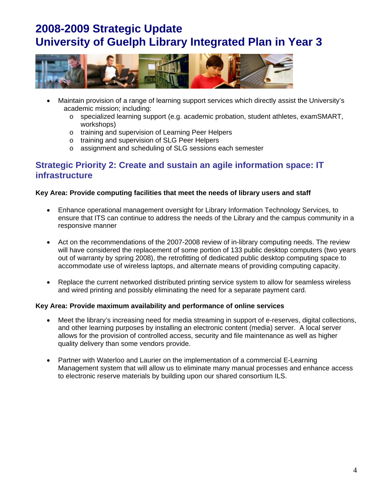

- Maintain provision of a range of learning support services which directly assist the University's academic mission; including:
	- o specialized learning support (e.g. academic probation, student athletes, examSMART, workshops)
	- o training and supervision of Learning Peer Helpers
	- o training and supervision of SLG Peer Helpers
	- o assignment and scheduling of SLG sessions each semester

## **Strategic Priority 2: Create and sustain an agile information space: IT infrastructure**

### **Key Area: Provide computing facilities that meet the needs of library users and staff**

- Enhance operational management oversight for Library Information Technology Services, to ensure that ITS can continue to address the needs of the Library and the campus community in a responsive manner
- Act on the recommendations of the 2007-2008 review of in-library computing needs. The review will have considered the replacement of some portion of 133 public desktop computers (two years out of warranty by spring 2008), the retrofitting of dedicated public desktop computing space to accommodate use of wireless laptops, and alternate means of providing computing capacity.
- Replace the current networked distributed printing service system to allow for seamless wireless and wired printing and possibly eliminating the need for a separate payment card.

#### **Key Area: Provide maximum availability and performance of online services**

- Meet the library's increasing need for media streaming in support of e-reserves, digital collections, and other learning purposes by installing an electronic content (media) server. A local server allows for the provision of controlled access, security and file maintenance as well as higher quality delivery than some vendors provide.
- Partner with Waterloo and Laurier on the implementation of a commercial E-Learning Management system that will allow us to eliminate many manual processes and enhance access to electronic reserve materials by building upon our shared consortium ILS.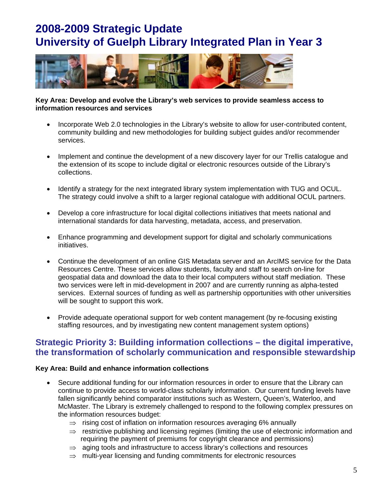

#### **Key Area: Develop and evolve the Library's web services to provide seamless access to information resources and services**

- Incorporate Web 2.0 technologies in the Library's website to allow for user-contributed content, community building and new methodologies for building subject guides and/or recommender services.
- Implement and continue the development of a new discovery layer for our Trellis catalogue and the extension of its scope to include digital or electronic resources outside of the Library's collections.
- Identify a strategy for the next integrated library system implementation with TUG and OCUL. The strategy could involve a shift to a larger regional catalogue with additional OCUL partners.
- Develop a core infrastructure for local digital collections initiatives that meets national and international standards for data harvesting, metadata, access, and preservation.
- Enhance programming and development support for digital and scholarly communications initiatives.
- Continue the development of an online GIS Metadata server and an ArcIMS service for the Data Resources Centre. These services allow students, faculty and staff to search on-line for geospatial data and download the data to their local computers without staff mediation. These two services were left in mid-development in 2007 and are currently running as alpha-tested services. External sources of funding as well as partnership opportunities with other universities will be sought to support this work.
- Provide adequate operational support for web content management (by re-focusing existing staffing resources, and by investigating new content management system options)

## **Strategic Priority 3: Building information collections – the digital imperative, the transformation of scholarly communication and responsible stewardship**

### **Key Area: Build and enhance information collections**

- Secure additional funding for our information resources in order to ensure that the Library can continue to provide access to world-class scholarly information. Our current funding levels have fallen significantly behind comparator institutions such as Western, Queen's, Waterloo, and McMaster. The Library is extremely challenged to respond to the following complex pressures on the information resources budget:
	- $\Rightarrow$  rising cost of inflation on information resources averaging 6% annually
	- $\Rightarrow$  restrictive publishing and licensing regimes (limiting the use of electronic information and requiring the payment of premiums for copyright clearance and permissions)
	- $\Rightarrow$  aging tools and infrastructure to access library's collections and resources
	- $\Rightarrow$  multi-year licensing and funding commitments for electronic resources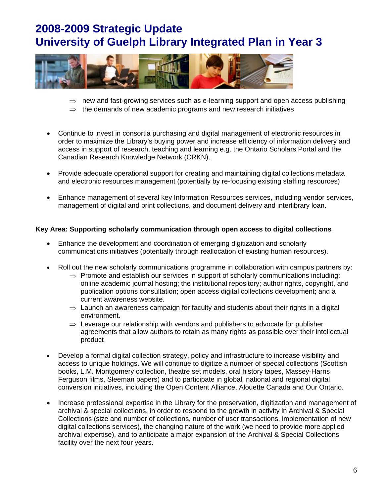

- $\Rightarrow$  new and fast-growing services such as e-learning support and open access publishing
- $\Rightarrow$  the demands of new academic programs and new research initiatives
- Continue to invest in consortia purchasing and digital management of electronic resources in order to maximize the Library's buying power and increase efficiency of information delivery and access in support of research, teaching and learning e.g. the Ontario Scholars Portal and the Canadian Research Knowledge Network (CRKN).
- Provide adequate operational support for creating and maintaining digital collections metadata and electronic resources management (potentially by re-focusing existing staffing resources)
- Enhance management of several key Information Resources services, including vendor services, management of digital and print collections, and document delivery and interlibrary loan.

#### **Key Area: Supporting scholarly communication through open access to digital collections**

- Enhance the development and coordination of emerging digitization and scholarly communications initiatives (potentially through reallocation of existing human resources).
- Roll out the new scholarly communications programme in collaboration with campus partners by:
	- $\Rightarrow$  Promote and establish our services in support of scholarly communications including: online academic journal hosting; the institutional repository; author rights, copyright, and publication options consultation; open access digital collections development; and a current awareness website.
	- $\Rightarrow$  Launch an awareness campaign for faculty and students about their rights in a digital environment*.*
	- $\Rightarrow$  Leverage our relationship with vendors and publishers to advocate for publisher agreements that allow authors to retain as many rights as possible over their intellectual product
- Develop a formal digital collection strategy, policy and infrastructure to increase visibility and access to unique holdings. We will continue to digitize a number of special collections (Scottish books, L.M. Montgomery collection, theatre set models, oral history tapes, Massey-Harris Ferguson films, Sleeman papers) and to participate in global, national and regional digital conversion initiatives, including the Open Content Alliance, Alouette Canada and Our Ontario.
- Increase professional expertise in the Library for the preservation, digitization and management of archival & special collections, in order to respond to the growth in activity in Archival & Special Collections (size and number of collections, number of user transactions, implementation of new digital collections services), the changing nature of the work (we need to provide more applied archival expertise), and to anticipate a major expansion of the Archival & Special Collections facility over the next four years.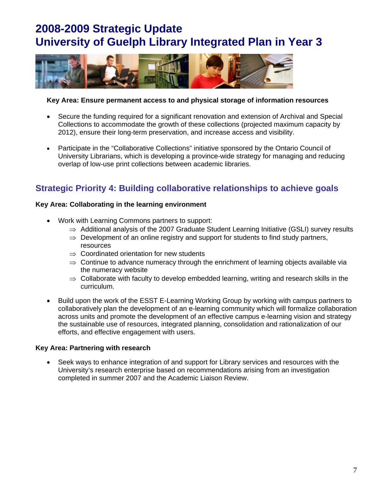

### **Key Area: Ensure permanent access to and physical storage of information resources**

- Secure the funding required for a significant renovation and extension of Archival and Special Collections to accommodate the growth of these collections (projected maximum capacity by 2012), ensure their long-term preservation, and increase access and visibility.
- Participate in the "Collaborative Collections" initiative sponsored by the Ontario Council of University Librarians, which is developing a province-wide strategy for managing and reducing overlap of low-use print collections between academic libraries.

## **Strategic Priority 4: Building collaborative relationships to achieve goals**

### **Key Area: Collaborating in the learning environment**

- Work with Learning Commons partners to support:
	- $\Rightarrow$  Additional analysis of the 2007 Graduate Student Learning Initiative (GSLI) survey results
	- $\Rightarrow$  Development of an online registry and support for students to find study partners, resources
	- $\Rightarrow$  Coordinated orientation for new students
	- $\Rightarrow$  Continue to advance numeracy through the enrichment of learning objects available via the numeracy website
	- $\Rightarrow$  Collaborate with faculty to develop embedded learning, writing and research skills in the curriculum.
- Build upon the work of the ESST E-Learning Working Group by working with campus partners to collaboratively plan the development of an e-learning community which will formalize collaboration across units and promote the development of an effective campus e-learning vision and strategy the sustainable use of resources, integrated planning, consolidation and rationalization of our efforts, and effective engagement with users.

### **Key Area: Partnering with research**

• Seek ways to enhance integration of and support for Library services and resources with the University's research enterprise based on recommendations arising from an investigation completed in summer 2007 and the Academic Liaison Review.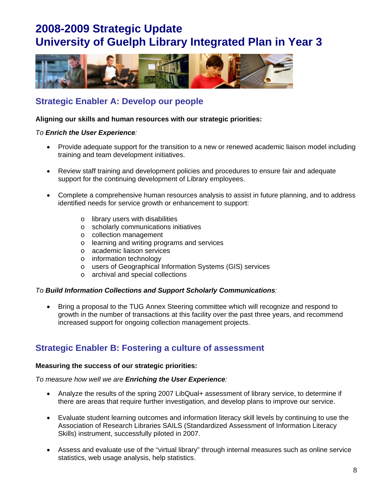

## **Strategic Enabler A: Develop our people**

#### **Aligning our skills and human resources with our strategic priorities:**

#### *To Enrich the User Experience:*

- Provide adequate support for the transition to a new or renewed academic liaison model including training and team development initiatives.
- Review staff training and development policies and procedures to ensure fair and adequate support for the continuing development of Library employees.
- Complete a comprehensive human resources analysis to assist in future planning, and to address identified needs for service growth or enhancement to support:
	- o library users with disabilities
	- o scholarly communications initiatives
	- o collection management
	- o learning and writing programs and services
	- o academic liaison services
	- o information technology
	- o users of Geographical Information Systems (GIS) services
	- o archival and special collections

#### *To Build Information Collections and Support Scholarly Communications:*

• Bring a proposal to the TUG Annex Steering committee which will recognize and respond to growth in the number of transactions at this facility over the past three years, and recommend increased support for ongoing collection management projects.

## **Strategic Enabler B: Fostering a culture of assessment**

#### **Measuring the success of our strategic priorities:**

#### *To measure how well we are Enriching the User Experience:*

- Analyze the results of the spring 2007 LibQual+ assessment of library service, to determine if there are areas that require further investigation, and develop plans to improve our service.
- Evaluate student learning outcomes and information literacy skill levels by continuing to use the Association of Research Libraries SAILS (Standardized Assessment of Information Literacy Skills) instrument, successfully piloted in 2007.
- Assess and evaluate use of the "virtual library" through internal measures such as online service statistics, web usage analysis, help statistics.